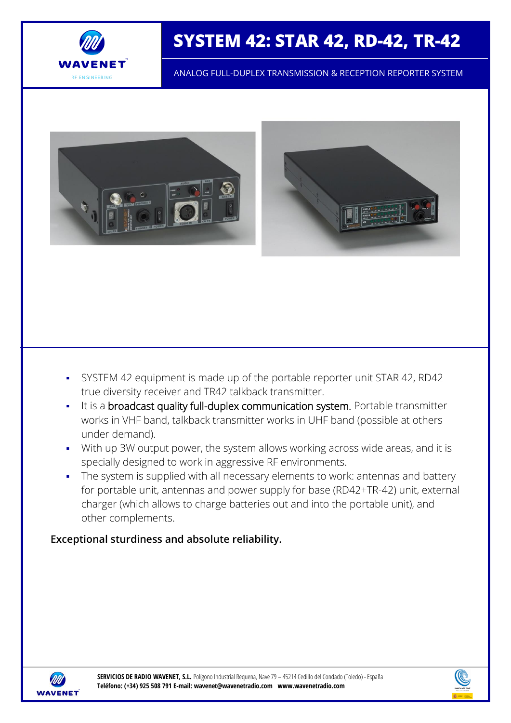

# **SYSTEM 42: STAR 42, RD-42, TR-42**

ANALOG FULL-DUPLEX TRANSMISSION & RECEPTION REPORTER SYSTEM



- SYSTEM 42 equipment is made up of the portable reporter unit STAR 42, RD42 true diversity receiver and TR42 talkback transmitter.
- It is a broadcast quality full-duplex communication system. Portable transmitter works in VHF band, talkback transmitter works in UHF band (possible at others under demand).
- With up 3W output power, the system allows working across wide areas, and it is specially designed to work in aggressive RF environments.
- The system is supplied with all necessary elements to work: antennas and battery for portable unit, antennas and power supply for base (RD42+TR-42) unit, external charger (which allows to charge batteries out and into the portable unit), and other complements.

# **Exceptional sturdiness and absolute reliability.**